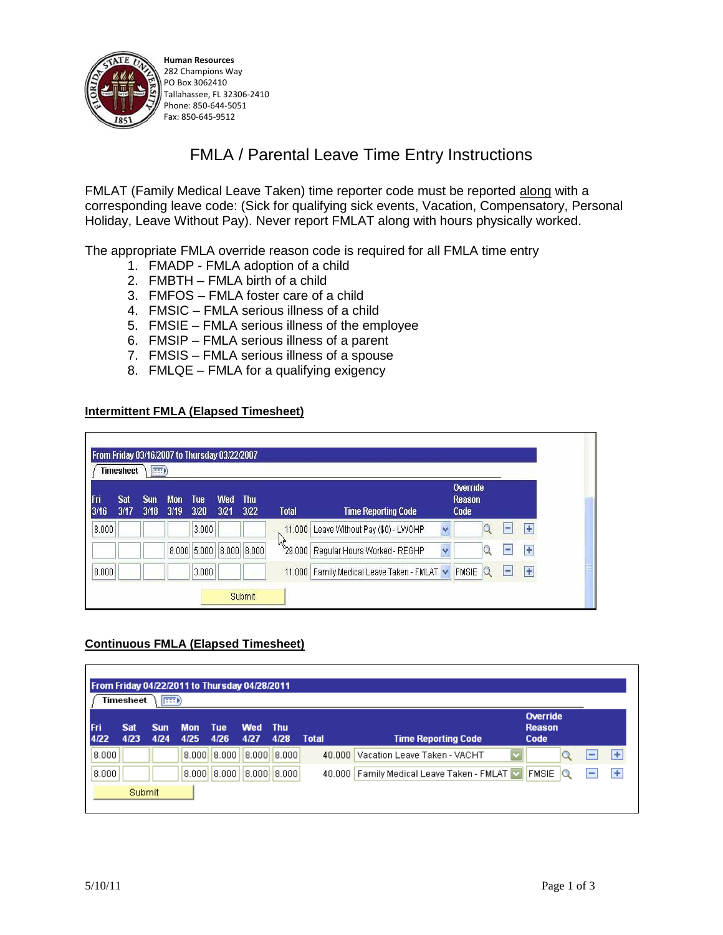

**Human Resources**  282 Champions Way PO Box 3062410 Tallahassee, FL 32306-2410 Phone: 850-644-5051 Fax: 850-645-9512

# FMLA / Parental Leave Time Entry Instructions

FMLAT (Family Medical Leave Taken) time reporter code must be reported along with a corresponding leave code: (Sick for qualifying sick events, Vacation, Compensatory, Personal Holiday, Leave Without Pay). Never report FMLAT along with hours physically worked.

The appropriate FMLA override reason code is required for all FMLA time entry

- 1. FMADP FMLA adoption of a child
- 2. FMBTH FMLA birth of a child
- 3. FMFOS FMLA foster care of a child
- 4. FMSIC FMLA serious illness of a child
- 5. FMSIE FMLA serious illness of the employee
- 6. FMSIP FMLA serious illness of a parent
- 7. FMSIS FMLA serious illness of a spouse
- 8. FMLQE FMLA for a qualifying exigency

#### **Intermittent FMLA (Elapsed Timesheet)**

|             | <b>Timesheet</b> | $E = 0$            |                    |               |             |                     |                    |                                           |                                   |             |           |
|-------------|------------------|--------------------|--------------------|---------------|-------------|---------------------|--------------------|-------------------------------------------|-----------------------------------|-------------|-----------|
| Fri<br>3/16 | Sat<br>3/17      | <b>Sun</b><br>3/18 | <b>Mon</b><br>3/19 | Tue<br>3/20   | Wed<br>3/21 | <b>Thu</b><br>3/22  | <b>Total</b>       | <b>Time Reporting Code</b>                | Override<br><b>Reason</b><br>Code |             |           |
| 8.000       |                  |                    |                    | 3.000         |             |                     |                    | 11.000 Leave Without Pay (\$0) - LWOHP    | v                                 | ۳           | ÷         |
|             |                  |                    |                    | $8.000$ 5.000 |             | $ 8.000 $ $ 8.000 $ | $\frac{1}{29.000}$ | Regular Hours Worked - REGHP              | v                                 | <b>STAR</b> | ÷         |
| 8.000       |                  |                    |                    | 3.000         |             |                     |                    | 11.000 Family Medical Leave Taken - FMLAT | FMSIE                             | Ξ           | $\ddot{}$ |

#### **Continuous FMLA (Elapsed Timesheet)**

| From Friday 04/22/2011 to Thursday 04/28/2011<br>æð<br>Timesheet |             |                    |             |                    |                    |               |        |                                                         |                                   |                          |   |
|------------------------------------------------------------------|-------------|--------------------|-------------|--------------------|--------------------|---------------|--------|---------------------------------------------------------|-----------------------------------|--------------------------|---|
| lFri<br>4/22                                                     | Sat<br>4/23 | <b>Sun</b><br>4/24 | Mon<br>4/25 | <b>Tue</b><br>4/26 | <b>Wed</b><br>4/27 | - Thu<br>4/28 | Total  | <b>Time Reporting Code</b>                              | Override<br><b>Reason</b><br>Code |                          |   |
| 8.000                                                            |             |                    | 8.000       | 8.000              | 8.000              | 8.000         | 40.000 | $\overline{\mathbf{v}}$<br>Vacation Leave Taken - VACHT |                                   | -                        | ÷ |
| 8.000                                                            |             |                    | 8.000       | 8.000              | 8.000              | 8.000         |        | 40.000   Family Medical Leave Taken - FMLAT             | <b>FMSIE</b><br>Q                 | $\overline{\phantom{a}}$ | ÷ |
|                                                                  | Submit      |                    |             |                    |                    |               |        |                                                         |                                   |                          |   |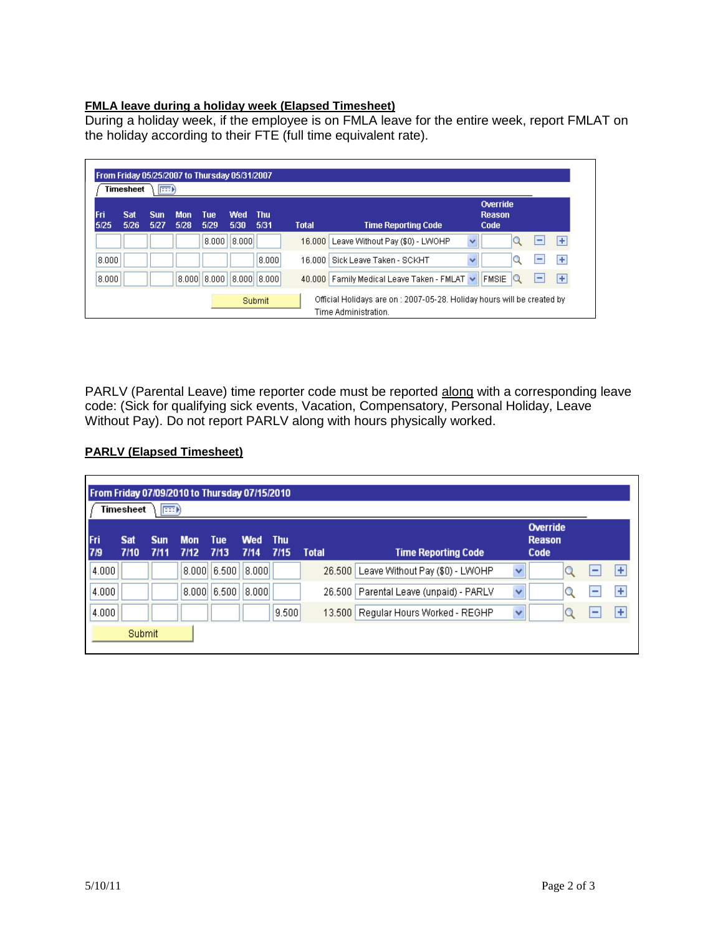#### **FMLA leave during a holiday week (Elapsed Timesheet)**

During a holiday week, if the employee is on FMLA leave for the entire week, report FMLAT on the holiday according to their FTE (full time equivalent rate).

| From Friday 05/25/2007 to Thursday 05/31/2007<br><b>Timesheet</b><br><b>Exp</b> |             |             |                    |                   |             |               |              |                                                                                                 |                      |                                   |    |
|---------------------------------------------------------------------------------|-------------|-------------|--------------------|-------------------|-------------|---------------|--------------|-------------------------------------------------------------------------------------------------|----------------------|-----------------------------------|----|
| Fri<br>5/25                                                                     | Sat<br>5/26 | Sun<br>5/27 | <b>Mon</b><br>5/28 | Tue<br>5/29       | Wed<br>5/30 | - Thu<br>5/31 | <b>Total</b> | <b>Time Reporting Code</b>                                                                      |                      | Override<br><b>Reason</b><br>Code |    |
|                                                                                 |             |             |                    | 8.000             | 8.000       |               | 16,000       | Leave Without Pay (\$0) - LWOHP                                                                 | $\checkmark$         |                                   | ŀ  |
| 8.000                                                                           |             |             |                    |                   |             | 8.000         | 16.000       | Sick Leave Taken - SCKHT                                                                        | $\ddot{\phantom{0}}$ |                                   | l+ |
| 8.000                                                                           |             |             |                    | $8.000$ $ 8.000 $ |             | 8,000  8,000  |              | 40.000 Family Medical Leave Taken - FMLAT v                                                     |                      | FMSIE                             | l+ |
|                                                                                 |             |             |                    |                   |             | Submit        |              | Official Holidays are on : 2007-05-28. Holiday hours will be created by<br>Time Administration. |                      |                                   |    |

PARLV (Parental Leave) time reporter code must be reported along with a corresponding leave code: (Sick for qualifying sick events, Vacation, Compensatory, Personal Holiday, Leave Without Pay). Do not report PARLV along with hours physically worked.

### **PARLV (Elapsed Timesheet)**

| From Friday 07/09/2010 to Thursday 07/15/2010<br>Timesheet<br>  田り |             |                    |                    |                 |                    |             |              |                                        |              |                                   |   |   |
|--------------------------------------------------------------------|-------------|--------------------|--------------------|-----------------|--------------------|-------------|--------------|----------------------------------------|--------------|-----------------------------------|---|---|
| <b>Fri</b><br>7/9                                                  | Sat<br>7/10 | <b>Sun</b><br>7/11 | <b>Mon</b><br>7/12 | Tue<br>7/13     | <b>Wed</b><br>7/14 | Thu<br>7/15 | <b>Total</b> | <b>Time Reporting Code</b>             |              | Override<br><b>Reason</b><br>Code |   |   |
| 4.000                                                              |             |                    |                    | $ 8.000 $ 6.500 | 0.000              |             | 26.500       | Leave Without Pay (\$0) - LWOHP        | $\checkmark$ |                                   | - | ÷ |
| 4.000                                                              |             |                    | 8.000              | 6.500           | 0.000              |             |              | 26.500 Parental Leave (unpaid) - PARLV | v            |                                   | - | ÷ |
| 4.000                                                              |             |                    |                    |                 |                    | 9.500       | 13.500       | Regular Hours Worked - REGHP           | $\checkmark$ |                                   |   | ÷ |
|                                                                    | Submit      |                    |                    |                 |                    |             |              |                                        |              |                                   |   |   |